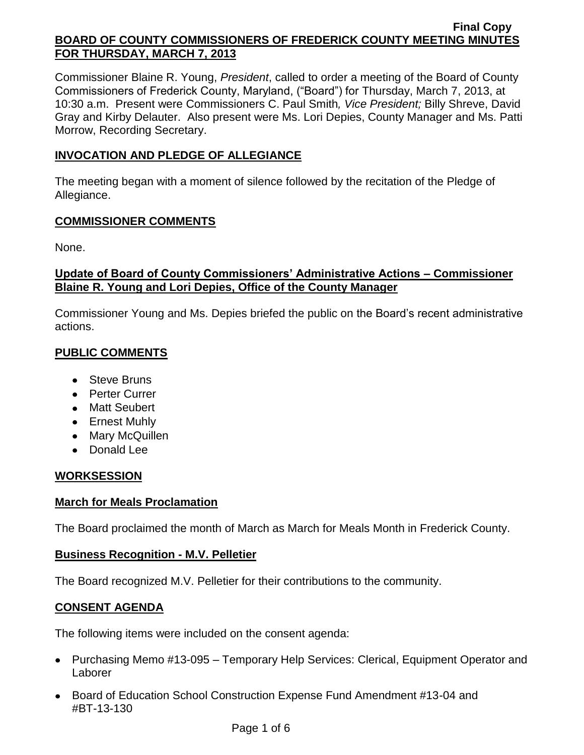Commissioner Blaine R. Young, *President*, called to order a meeting of the Board of County Commissioners of Frederick County, Maryland, ("Board") for Thursday, March 7, 2013, at 10:30 a.m. Present were Commissioners C. Paul Smith*, Vice President;* Billy Shreve, David Gray and Kirby Delauter. Also present were Ms. Lori Depies, County Manager and Ms. Patti Morrow, Recording Secretary.

# **INVOCATION AND PLEDGE OF ALLEGIANCE**

The meeting began with a moment of silence followed by the recitation of the Pledge of Allegiance.

## **COMMISSIONER COMMENTS**

None.

## **Update of Board of County Commissioners' Administrative Actions – Commissioner Blaine R. Young and Lori Depies, Office of the County Manager**

Commissioner Young and Ms. Depies briefed the public on the Board's recent administrative actions.

# **PUBLIC COMMENTS**

- Steve Bruns
- Perter Currer
- Matt Seubert
- Ernest Muhly
- Mary McQuillen
- Donald Lee

# **WORKSESSION**

## **March for Meals Proclamation**

The Board proclaimed the month of March as March for Meals Month in Frederick County.

## **Business Recognition - M.V. Pelletier**

The Board recognized M.V. Pelletier for their contributions to the community.

# **CONSENT AGENDA**

The following items were included on the consent agenda:

- Purchasing Memo #13-095 Temporary Help Services: Clerical, Equipment Operator and Laborer
- Board of Education School Construction Expense Fund Amendment #13-04 and #BT-13-130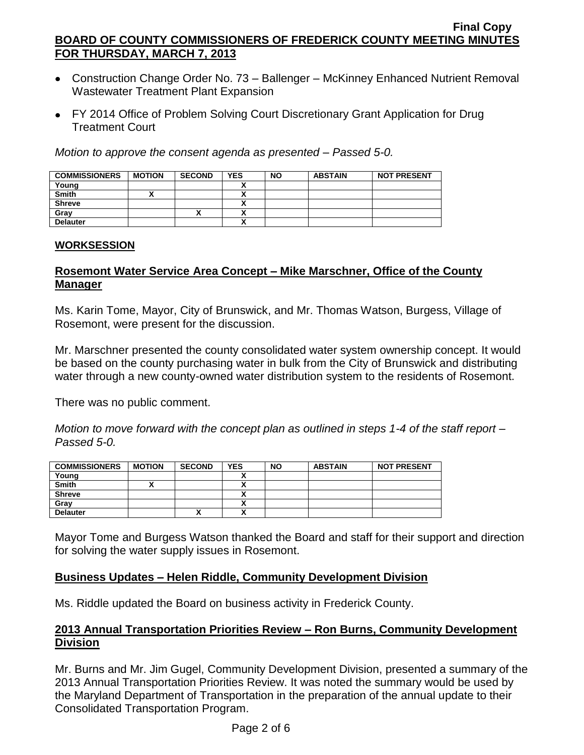- Construction Change Order No. 73 Ballenger McKinney Enhanced Nutrient Removal Wastewater Treatment Plant Expansion
- FY 2014 Office of Problem Solving Court Discretionary Grant Application for Drug Treatment Court

*Motion to approve the consent agenda as presented – Passed 5-0.*

| <b>COMMISSIONERS</b> | <b>MOTION</b> | <b>SECOND</b> | <b>YES</b> | <b>NO</b> | <b>ABSTAIN</b> | <b>NOT PRESENT</b> |
|----------------------|---------------|---------------|------------|-----------|----------------|--------------------|
| Young                |               |               |            |           |                |                    |
| <b>Smith</b>         |               |               |            |           |                |                    |
| <b>Shreve</b>        |               |               |            |           |                |                    |
| Gray                 |               | ^             |            |           |                |                    |
| <b>Delauter</b>      |               |               |            |           |                |                    |

#### **WORKSESSION**

# **Rosemont Water Service Area Concept – Mike Marschner, Office of the County Manager**

Ms. Karin Tome, Mayor, City of Brunswick, and Mr. Thomas Watson, Burgess, Village of Rosemont, were present for the discussion.

Mr. Marschner presented the county consolidated water system ownership concept. It would be based on the county purchasing water in bulk from the City of Brunswick and distributing water through a new county-owned water distribution system to the residents of Rosemont.

There was no public comment.

*Motion to move forward with the concept plan as outlined in steps 1-4 of the staff report – Passed 5-0.*

| <b>COMMISSIONERS</b> | <b>MOTION</b> | <b>SECOND</b>            | <b>YES</b>                    | <b>NO</b> | <b>ABSTAIN</b> | <b>NOT PRESENT</b> |
|----------------------|---------------|--------------------------|-------------------------------|-----------|----------------|--------------------|
| Young                |               |                          |                               |           |                |                    |
| <b>Smith</b>         |               |                          |                               |           |                |                    |
| <b>Shreve</b>        |               |                          |                               |           |                |                    |
| Gray                 |               |                          |                               |           |                |                    |
| <b>Delauter</b>      |               | $\overline{\phantom{a}}$ | `<br>$\overline{\phantom{a}}$ |           |                |                    |

Mayor Tome and Burgess Watson thanked the Board and staff for their support and direction for solving the water supply issues in Rosemont.

## **Business Updates – Helen Riddle, Community Development Division**

Ms. Riddle updated the Board on business activity in Frederick County.

# **2013 Annual Transportation Priorities Review – Ron Burns, Community Development Division**

Mr. Burns and Mr. Jim Gugel, Community Development Division, presented a summary of the 2013 Annual Transportation Priorities Review. It was noted the summary would be used by the Maryland Department of Transportation in the preparation of the annual update to their Consolidated Transportation Program.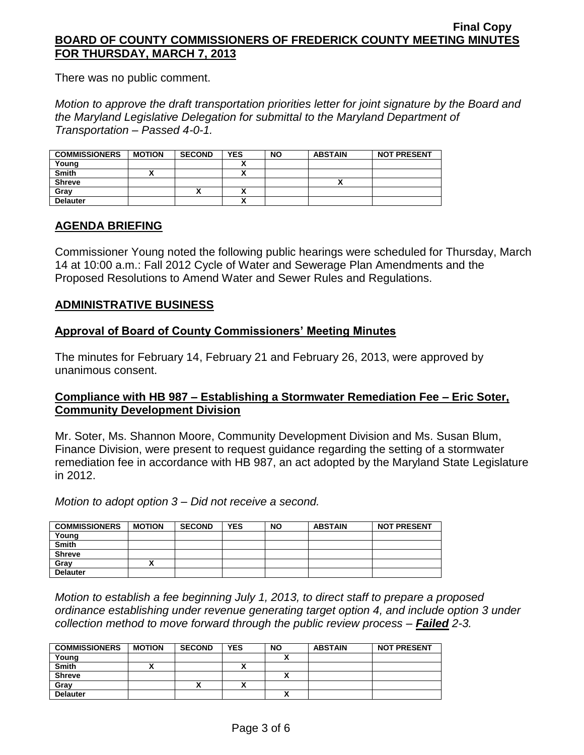There was no public comment.

*Motion to approve the draft transportation priorities letter for joint signature by the Board and the Maryland Legislative Delegation for submittal to the Maryland Department of Transportation – Passed 4-0-1.*

| <b>COMMISSIONERS</b> | <b>MOTION</b> | <b>SECOND</b> | YES | <b>NO</b> | <b>ABSTAIN</b> | <b>NOT PRESENT</b> |
|----------------------|---------------|---------------|-----|-----------|----------------|--------------------|
| Young                |               |               |     |           |                |                    |
| <b>Smith</b>         |               |               |     |           |                |                    |
| <b>Shreve</b>        |               |               |     |           |                |                    |
| Grav                 |               | ↗             |     |           |                |                    |
| <b>Delauter</b>      |               |               |     |           |                |                    |

## **AGENDA BRIEFING**

Commissioner Young noted the following public hearings were scheduled for Thursday, March 14 at 10:00 a.m.: Fall 2012 Cycle of Water and Sewerage Plan Amendments and the Proposed Resolutions to Amend Water and Sewer Rules and Regulations.

### **ADMINISTRATIVE BUSINESS**

### **Approval of Board of County Commissioners' Meeting Minutes**

The minutes for February 14, February 21 and February 26, 2013, were approved by unanimous consent.

## **Compliance with HB 987 – Establishing a Stormwater Remediation Fee – Eric Soter, Community Development Division**

Mr. Soter, Ms. Shannon Moore, Community Development Division and Ms. Susan Blum, Finance Division, were present to request guidance regarding the setting of a stormwater remediation fee in accordance with HB 987, an act adopted by the Maryland State Legislature in 2012.

*Motion to adopt option 3 – Did not receive a second.*

| <b>COMMISSIONERS</b> | <b>MOTION</b> | <b>SECOND</b> | <b>YES</b> | <b>NO</b> | <b>ABSTAIN</b> | <b>NOT PRESENT</b> |
|----------------------|---------------|---------------|------------|-----------|----------------|--------------------|
| Young                |               |               |            |           |                |                    |
| <b>Smith</b>         |               |               |            |           |                |                    |
| <b>Shreve</b>        |               |               |            |           |                |                    |
| Grav                 |               |               |            |           |                |                    |
| <b>Delauter</b>      |               |               |            |           |                |                    |

*Motion to establish a fee beginning July 1, 2013, to direct staff to prepare a proposed ordinance establishing under revenue generating target option 4, and include option 3 under collection method to move forward through the public review process – Failed 2-3.*

| <b>COMMISSIONERS</b> | <b>MOTION</b> | <b>SECOND</b> | <b>YES</b> | <b>NO</b> | <b>ABSTAIN</b> | <b>NOT PRESENT</b> |
|----------------------|---------------|---------------|------------|-----------|----------------|--------------------|
| Young                |               |               |            |           |                |                    |
| <b>Smith</b>         |               |               |            |           |                |                    |
| <b>Shreve</b>        |               |               |            |           |                |                    |
| Gray                 |               | ́             |            |           |                |                    |
| <b>Delauter</b>      |               |               |            |           |                |                    |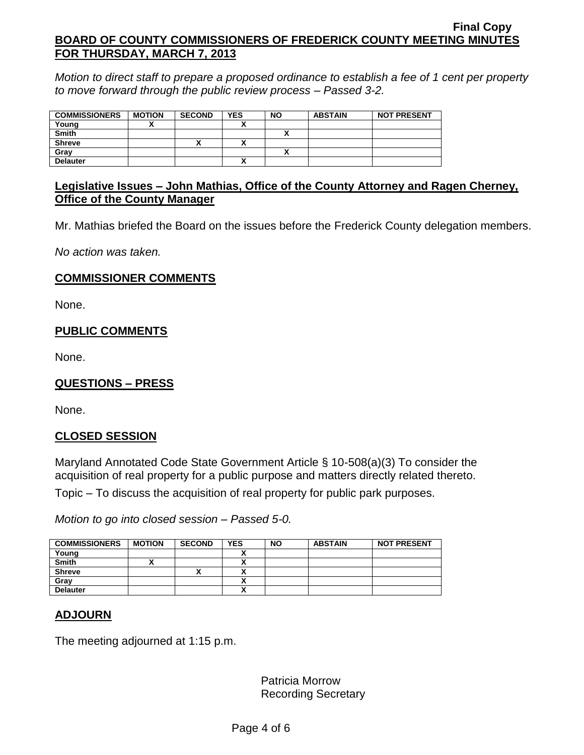*Motion to direct staff to prepare a proposed ordinance to establish a fee of 1 cent per property to move forward through the public review process – Passed 3-2.*

| <b>COMMISSIONERS</b> | <b>MOTION</b> | <b>SECOND</b> | <b>YES</b> | <b>NO</b> | <b>ABSTAIN</b> | <b>NOT PRESENT</b> |
|----------------------|---------------|---------------|------------|-----------|----------------|--------------------|
| Young                |               |               |            |           |                |                    |
| <b>Smith</b>         |               |               |            |           |                |                    |
| <b>Shreve</b>        |               | "             |            |           |                |                    |
| Gray                 |               |               |            |           |                |                    |
| <b>Delauter</b>      |               |               |            |           |                |                    |

## **Legislative Issues – John Mathias, Office of the County Attorney and Ragen Cherney, Office of the County Manager**

Mr. Mathias briefed the Board on the issues before the Frederick County delegation members.

*No action was taken.*

## **COMMISSIONER COMMENTS**

None.

# **PUBLIC COMMENTS**

None.

# **QUESTIONS – PRESS**

None.

## **CLOSED SESSION**

Maryland Annotated Code State Government Article § 10-508(a)(3) To consider the acquisition of real property for a public purpose and matters directly related thereto. Topic – To discuss the acquisition of real property for public park purposes.

*Motion to go into closed session – Passed 5-0.*

| <b>COMMISSIONERS</b> | <b>MOTION</b> | <b>SECOND</b> | <b>YES</b> | <b>NO</b> | <b>ABSTAIN</b> | <b>NOT PRESENT</b> |
|----------------------|---------------|---------------|------------|-----------|----------------|--------------------|
| Young                |               |               |            |           |                |                    |
| <b>Smith</b>         |               |               |            |           |                |                    |
| <b>Shreve</b>        |               |               |            |           |                |                    |
| Gray                 |               |               |            |           |                |                    |
| <b>Delauter</b>      |               |               |            |           |                |                    |

## **ADJOURN**

The meeting adjourned at 1:15 p.m.

Patricia Morrow Recording Secretary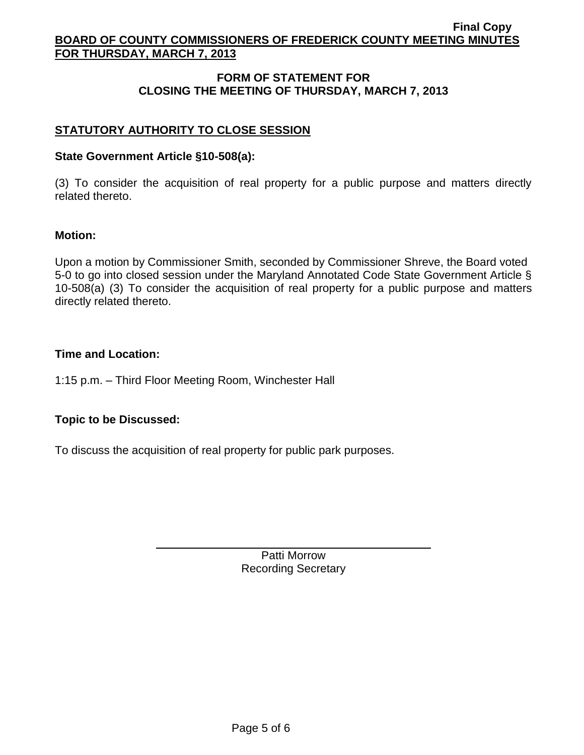## **FORM OF STATEMENT FOR CLOSING THE MEETING OF THURSDAY, MARCH 7, 2013**

# **STATUTORY AUTHORITY TO CLOSE SESSION**

## **State Government Article §10-508(a):**

(3) To consider the acquisition of real property for a public purpose and matters directly related thereto.

### **Motion:**

Upon a motion by Commissioner Smith, seconded by Commissioner Shreve, the Board voted 5-0 to go into closed session under the Maryland Annotated Code State Government Article § 10-508(a) (3) To consider the acquisition of real property for a public purpose and matters directly related thereto.

### **Time and Location:**

1:15 p.m. – Third Floor Meeting Room, Winchester Hall

## **Topic to be Discussed:**

To discuss the acquisition of real property for public park purposes.

Patti Morrow Recording Secretary